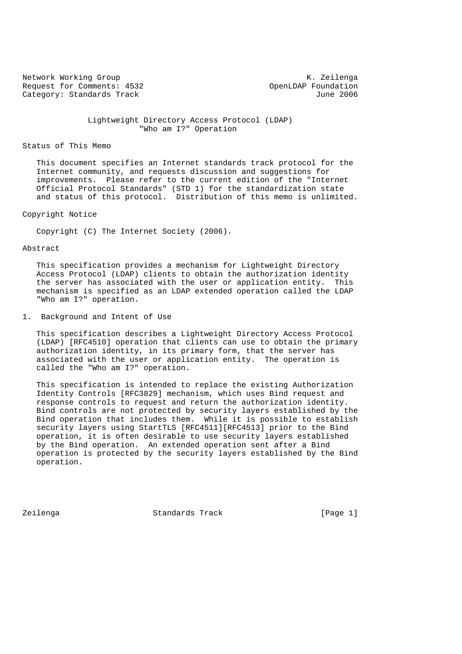Network Working Group Network Working Group Request for Comments: 4532<br>
Category: Standards Track<br>
Une 2006 Category: Standards Track

 Lightweight Directory Access Protocol (LDAP) "Who am I?" Operation

## Status of This Memo

 This document specifies an Internet standards track protocol for the Internet community, and requests discussion and suggestions for improvements. Please refer to the current edition of the "Internet Official Protocol Standards" (STD 1) for the standardization state and status of this protocol. Distribution of this memo is unlimited.

## Copyright Notice

Copyright (C) The Internet Society (2006).

## Abstract

 This specification provides a mechanism for Lightweight Directory Access Protocol (LDAP) clients to obtain the authorization identity the server has associated with the user or application entity. This mechanism is specified as an LDAP extended operation called the LDAP "Who am I?" operation.

1. Background and Intent of Use

 This specification describes a Lightweight Directory Access Protocol (LDAP) [RFC4510] operation that clients can use to obtain the primary authorization identity, in its primary form, that the server has associated with the user or application entity. The operation is called the "Who am I?" operation.

 This specification is intended to replace the existing Authorization Identity Controls [RFC3829] mechanism, which uses Bind request and response controls to request and return the authorization identity. Bind controls are not protected by security layers established by the Bind operation that includes them. While it is possible to establish security layers using StartTLS [RFC4511][RFC4513] prior to the Bind operation, it is often desirable to use security layers established by the Bind operation. An extended operation sent after a Bind operation is protected by the security layers established by the Bind operation.

Zeilenga Standards Track [Page 1]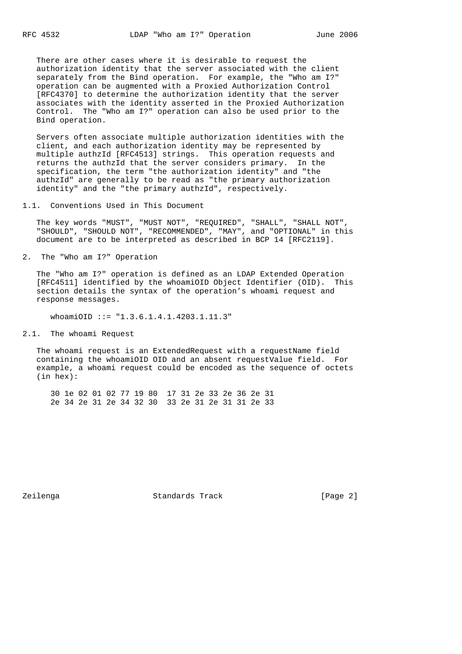There are other cases where it is desirable to request the authorization identity that the server associated with the client separately from the Bind operation. For example, the "Who am I?" operation can be augmented with a Proxied Authorization Control [RFC4370] to determine the authorization identity that the server associates with the identity asserted in the Proxied Authorization Control. The "Who am I?" operation can also be used prior to the Bind operation.

 Servers often associate multiple authorization identities with the client, and each authorization identity may be represented by multiple authzId [RFC4513] strings. This operation requests and returns the authzId that the server considers primary. In the specification, the term "the authorization identity" and "the authzId" are generally to be read as "the primary authorization identity" and the "the primary authzId", respectively.

1.1. Conventions Used in This Document

 The key words "MUST", "MUST NOT", "REQUIRED", "SHALL", "SHALL NOT", "SHOULD", "SHOULD NOT", "RECOMMENDED", "MAY", and "OPTIONAL" in this document are to be interpreted as described in BCP 14 [RFC2119].

2. The "Who am I?" Operation

 The "Who am I?" operation is defined as an LDAP Extended Operation [RFC4511] identified by the whoamiOID Object Identifier (OID). This section details the syntax of the operation's whoami request and response messages.

whoamiOID ::=  $"1.3.6.1.4.1.4203.1.11.3"$ 

2.1. The whoami Request

The whoami request is an ExtendedRequest with a requestName field containing the whoamiOID OID and an absent requestValue field. For example, a whoami request could be encoded as the sequence of octets (in hex):

 30 1e 02 01 02 77 19 80 17 31 2e 33 2e 36 2e 31 2e 34 2e 31 2e 34 32 30 33 2e 31 2e 31 31 2e 33

Zeilenga Standards Track [Page 2]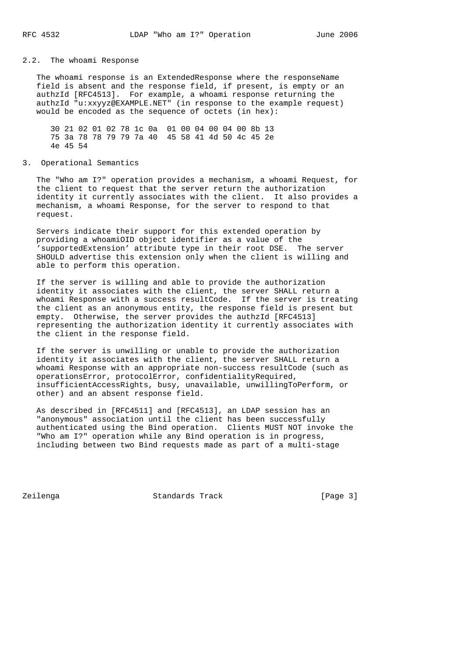# 2.2. The whoami Response

 The whoami response is an ExtendedResponse where the responseName field is absent and the response field, if present, is empty or an authzId [RFC4513]. For example, a whoami response returning the authzId "u:xxyyz@EXAMPLE.NET" (in response to the example request) would be encoded as the sequence of octets (in hex):

 30 21 02 01 02 78 1c 0a 01 00 04 00 04 00 8b 13 75 3a 78 78 79 79 7a 40 45 58 41 4d 50 4c 45 2e 4e 45 54

3. Operational Semantics

 The "Who am I?" operation provides a mechanism, a whoami Request, for the client to request that the server return the authorization identity it currently associates with the client. It also provides a mechanism, a whoami Response, for the server to respond to that request.

 Servers indicate their support for this extended operation by providing a whoamiOID object identifier as a value of the 'supportedExtension' attribute type in their root DSE. The server SHOULD advertise this extension only when the client is willing and able to perform this operation.

 If the server is willing and able to provide the authorization identity it associates with the client, the server SHALL return a whoami Response with a success resultCode. If the server is treating the client as an anonymous entity, the response field is present but empty. Otherwise, the server provides the authzId [RFC4513] representing the authorization identity it currently associates with the client in the response field.

 If the server is unwilling or unable to provide the authorization identity it associates with the client, the server SHALL return a whoami Response with an appropriate non-success resultCode (such as operationsError, protocolError, confidentialityRequired, insufficientAccessRights, busy, unavailable, unwillingToPerform, or other) and an absent response field.

 As described in [RFC4511] and [RFC4513], an LDAP session has an "anonymous" association until the client has been successfully authenticated using the Bind operation. Clients MUST NOT invoke the "Who am I?" operation while any Bind operation is in progress, including between two Bind requests made as part of a multi-stage

Zeilenga **Standards Track** [Page 3]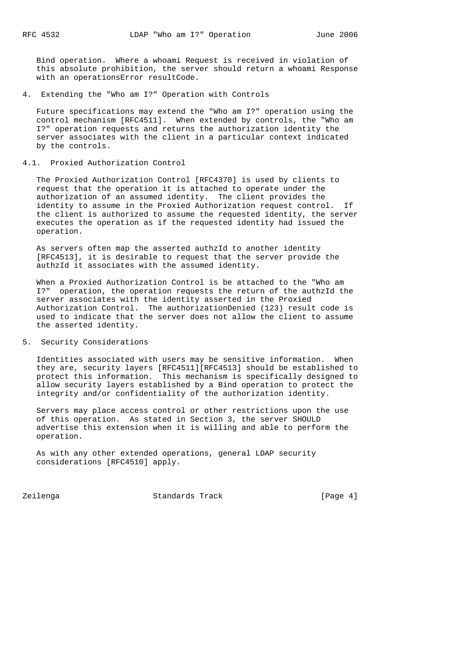Bind operation. Where a whoami Request is received in violation of this absolute prohibition, the server should return a whoami Response with an operationsError resultCode.

4. Extending the "Who am I?" Operation with Controls

 Future specifications may extend the "Who am I?" operation using the control mechanism [RFC4511]. When extended by controls, the "Who am I?" operation requests and returns the authorization identity the server associates with the client in a particular context indicated by the controls.

#### 4.1. Proxied Authorization Control

 The Proxied Authorization Control [RFC4370] is used by clients to request that the operation it is attached to operate under the authorization of an assumed identity. The client provides the identity to assume in the Proxied Authorization request control. If the client is authorized to assume the requested identity, the server executes the operation as if the requested identity had issued the operation.

 As servers often map the asserted authzId to another identity [RFC4513], it is desirable to request that the server provide the authzId it associates with the assumed identity.

 When a Proxied Authorization Control is be attached to the "Who am I?" operation, the operation requests the return of the authzId the server associates with the identity asserted in the Proxied Authorization Control. The authorizationDenied (123) result code is used to indicate that the server does not allow the client to assume the asserted identity.

## 5. Security Considerations

 Identities associated with users may be sensitive information. When they are, security layers [RFC4511][RFC4513] should be established to protect this information. This mechanism is specifically designed to allow security layers established by a Bind operation to protect the integrity and/or confidentiality of the authorization identity.

 Servers may place access control or other restrictions upon the use of this operation. As stated in Section 3, the server SHOULD advertise this extension when it is willing and able to perform the operation.

 As with any other extended operations, general LDAP security considerations [RFC4510] apply.

Zeilenga Standards Track [Page 4]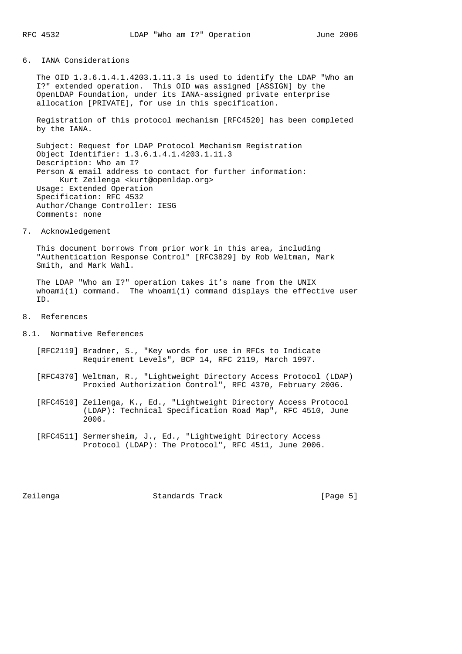## 6. IANA Considerations

 The OID 1.3.6.1.4.1.4203.1.11.3 is used to identify the LDAP "Who am I?" extended operation. This OID was assigned [ASSIGN] by the OpenLDAP Foundation, under its IANA-assigned private enterprise allocation [PRIVATE], for use in this specification.

 Registration of this protocol mechanism [RFC4520] has been completed by the IANA.

 Subject: Request for LDAP Protocol Mechanism Registration Object Identifier: 1.3.6.1.4.1.4203.1.11.3 Description: Who am I? Person & email address to contact for further information: Kurt Zeilenga <kurt@openldap.org> Usage: Extended Operation Specification: RFC 4532 Author/Change Controller: IESG Comments: none

7. Acknowledgement

 This document borrows from prior work in this area, including "Authentication Response Control" [RFC3829] by Rob Weltman, Mark Smith, and Mark Wahl.

 The LDAP "Who am I?" operation takes it's name from the UNIX whoami(1) command. The whoami(1) command displays the effective user ID.

- 8. References
- 8.1. Normative References
	- [RFC2119] Bradner, S., "Key words for use in RFCs to Indicate Requirement Levels", BCP 14, RFC 2119, March 1997.
	- [RFC4370] Weltman, R., "Lightweight Directory Access Protocol (LDAP) Proxied Authorization Control", RFC 4370, February 2006.
	- [RFC4510] Zeilenga, K., Ed., "Lightweight Directory Access Protocol (LDAP): Technical Specification Road Map", RFC 4510, June 2006.
	- [RFC4511] Sermersheim, J., Ed., "Lightweight Directory Access Protocol (LDAP): The Protocol", RFC 4511, June 2006.

Zeilenga Standards Track [Page 5]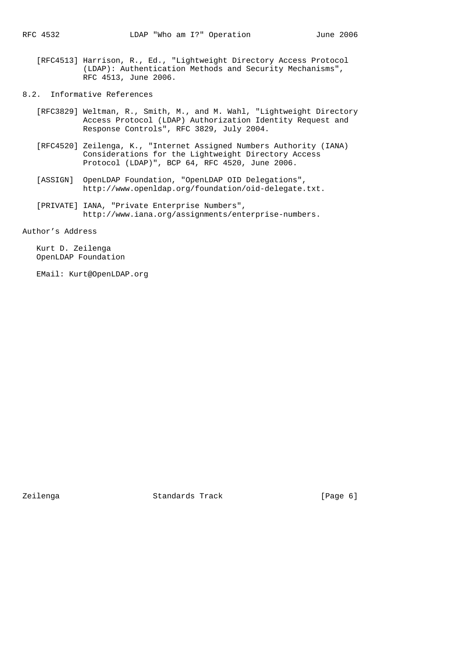- [RFC4513] Harrison, R., Ed., "Lightweight Directory Access Protocol (LDAP): Authentication Methods and Security Mechanisms", RFC 4513, June 2006.
- 8.2. Informative References
	- [RFC3829] Weltman, R., Smith, M., and M. Wahl, "Lightweight Directory Access Protocol (LDAP) Authorization Identity Request and Response Controls", RFC 3829, July 2004.
	- [RFC4520] Zeilenga, K., "Internet Assigned Numbers Authority (IANA) Considerations for the Lightweight Directory Access Protocol (LDAP)", BCP 64, RFC 4520, June 2006.
	- [ASSIGN] OpenLDAP Foundation, "OpenLDAP OID Delegations", http://www.openldap.org/foundation/oid-delegate.txt.
	- [PRIVATE] IANA, "Private Enterprise Numbers", http://www.iana.org/assignments/enterprise-numbers.

Author's Address

 Kurt D. Zeilenga OpenLDAP Foundation

EMail: Kurt@OpenLDAP.org

Zeilenga Standards Track [Page 6]